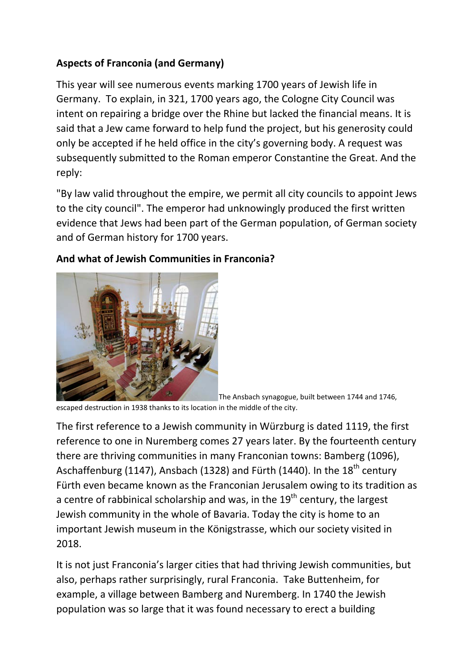## **Aspects of Franconia (and Germany)**

This year will see numerous events marking 1700 years of Jewish life in Germany. To explain, in 321, 1700 years ago, the Cologne City Council was intent on repairing a bridge over the Rhine but lacked the financial means. It is said that a Jew came forward to help fund the project, but his generosity could only be accepted if he held office in the city's governing body. A request was subsequently submitted to the Roman emperor Constantine the Great. And the reply:

"By law valid throughout the empire, we permit all city councils to appoint Jews to the city council". The emperor had unknowingly produced the first written evidence that Jews had been part of the German population, of German society and of German history for 1700 years.



## **And what of Jewish Communities in Franconia?**

The Ansbach synagogue, built between 1744 and 1746,

escaped destruction in 1938 thanks to its location in the middle of the city.

The first reference to a Jewish community in Würzburg is dated 1119, the first reference to one in Nuremberg comes 27 years later. By the fourteenth century there are thriving communities in many Franconian towns: Bamberg (1096), Aschaffenburg (1147), Ansbach (1328) and Fürth (1440). In the  $18<sup>th</sup>$  century Fürth even became known as the Franconian Jerusalem owing to its tradition as a centre of rabbinical scholarship and was, in the  $19<sup>th</sup>$  century, the largest Jewish community in the whole of Bavaria. Today the city is home to an important Jewish museum in the Königstrasse, which our society visited in 2018.

It is not just Franconia's larger cities that had thriving Jewish communities, but also, perhaps rather surprisingly, rural Franconia. Take Buttenheim, for example, a village between Bamberg and Nuremberg. In 1740 the Jewish population was so large that it was found necessary to erect a building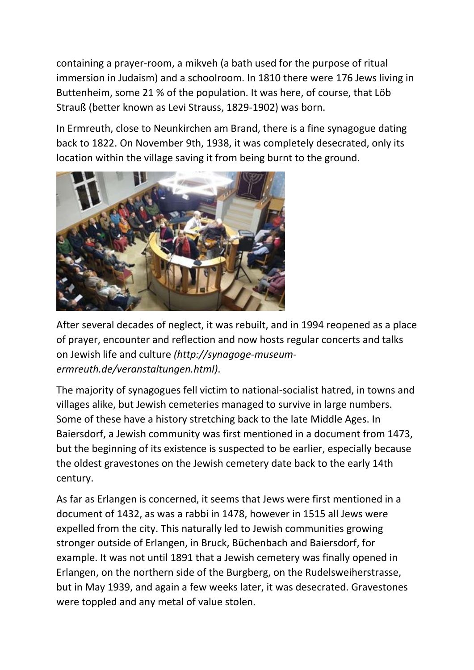containing a prayer-room, a mikveh (a bath used for the purpose of ritual immersion in Judaism) and a schoolroom. In 1810 there were 176 Jews living in Buttenheim, some 21 % of the population. It was here, of course, that Löb Strauß (better known as Levi Strauss, 1829-1902) was born.

In Ermreuth, close to Neunkirchen am Brand, there is a fine synagogue dating back to 1822. On November 9th, 1938, it was completely desecrated, only its location within the village saving it from being burnt to the ground.



After several decades of neglect, it was rebuilt, and in 1994 reopened as a place of prayer, encounter and reflection and now hosts regular concerts and talks on Jewish life and culture *(http://synagoge-museumermreuth.de/veranstaltungen.html)*.

The majority of synagogues fell victim to national-socialist hatred, in towns and villages alike, but Jewish cemeteries managed to survive in large numbers. Some of these have a history stretching back to the late Middle Ages. In Baiersdorf, a Jewish community was first mentioned in a document from 1473, but the beginning of its existence is suspected to be earlier, especially because the oldest gravestones on the Jewish cemetery date back to the early 14th century.

As far as Erlangen is concerned, it seems that Jews were first mentioned in a document of 1432, as was a rabbi in 1478, however in 1515 all Jews were expelled from the city. This naturally led to Jewish communities growing stronger outside of Erlangen, in Bruck, Büchenbach and Baiersdorf, for example. It was not until 1891 that a Jewish cemetery was finally opened in Erlangen, on the northern side of the Burgberg, on the Rudelsweiherstrasse, but in May 1939, and again a few weeks later, it was desecrated. Gravestones were toppled and any metal of value stolen.